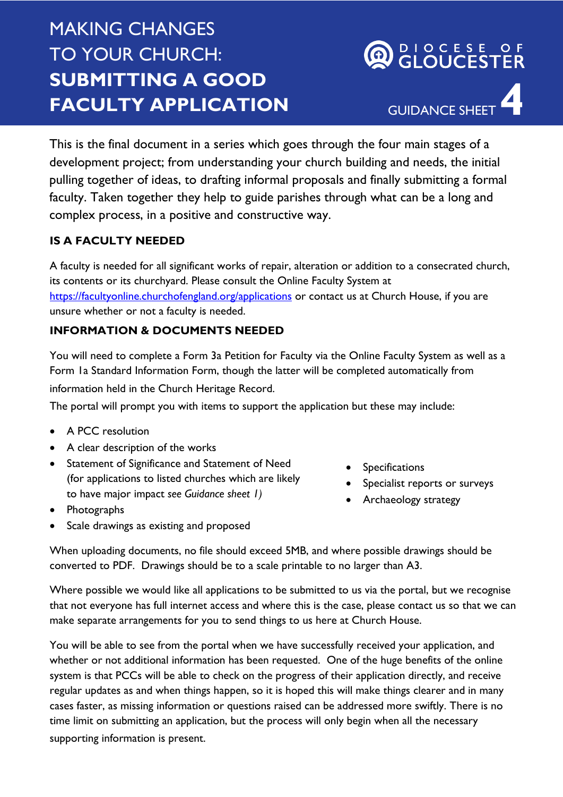# MAKING CHANGES TO YOUR CHURCH: **SUBMITTING A GOOD FACULTY APPLICATION**

GUIDANCE SHEET **4**

DIOCESE OF<br>GLOUCESTER

This is the final document in a series which goes through the four main stages of a development project; from understanding your church building and needs, the initial pulling together of ideas, to drafting informal proposals and finally submitting a formal faculty. Taken together they help to guide parishes through what can be a long and complex process, in a positive and constructive way.

# **IS A FACULTY NEEDED**

A faculty is needed for all significant works of repair, alteration or addition to a consecrated church, its contents or its churchyard. Please consult the Online Faculty System at <https://facultyonline.churchofengland.org/applications> or contact us at Church House, if you are unsure whether or not a faculty is needed.

# **INFORMATION & DOCUMENTS NEEDED**

You will need to complete a Form 3a Petition for Faculty via the Online Faculty System as well as a Form 1a Standard Information Form, though the latter will be completed automatically from information held in the Church Heritage Record.

The portal will prompt you with items to support the application but these may include:

- A PCC resolution
- A clear description of the works
- Statement of Significance and Statement of Need (for applications to listed churches which are likely to have major impact *see Guidance sheet 1)*
- Photographs
- Scale drawings as existing and proposed
- Specifications
- Specialist reports or surveys
- Archaeology strategy

When uploading documents, no file should exceed 5MB, and where possible drawings should be converted to PDF. Drawings should be to a scale printable to no larger than A3.

Where possible we would like all applications to be submitted to us via the portal, but we recognise that not everyone has full internet access and where this is the case, please contact us so that we can make separate arrangements for you to send things to us here at Church House.

You will be able to see from the portal when we have successfully received your application, and whether or not additional information has been requested. One of the huge benefits of the online system is that PCCs will be able to check on the progress of their application directly, and receive regular updates as and when things happen, so it is hoped this will make things clearer and in many cases faster, as missing information or questions raised can be addressed more swiftly. There is no time limit on submitting an application, but the process will only begin when all the necessary supporting information is present.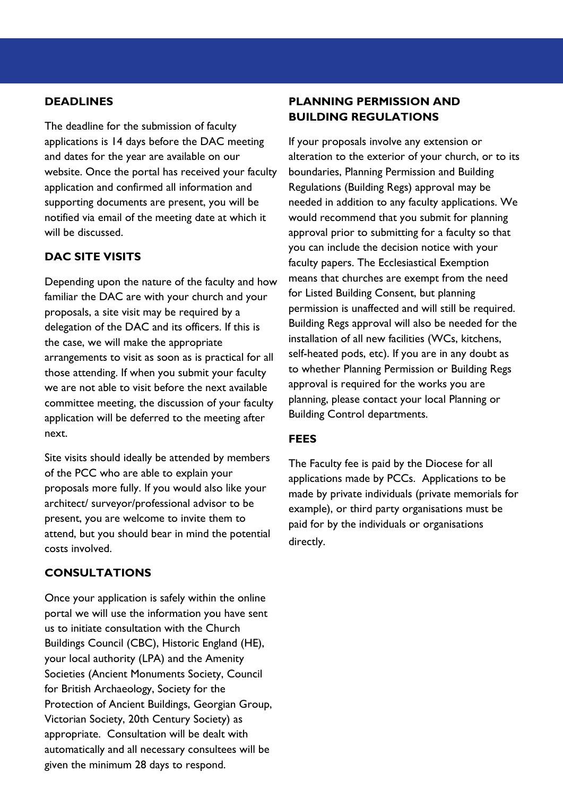## **DEADLINES**

The deadline for the submission of faculty applications is 14 days before the DAC meeting and dates for the year are available on our website. Once the portal has received your faculty application and confirmed all information and supporting documents are present, you will be notified via email of the meeting date at which it will be discussed.

# **DAC SITE VISITS**

Depending upon the nature of the faculty and how familiar the DAC are with your church and your proposals, a site visit may be required by a delegation of the DAC and its officers. If this is the case, we will make the appropriate arrangements to visit as soon as is practical for all those attending. If when you submit your faculty we are not able to visit before the next available committee meeting, the discussion of your faculty application will be deferred to the meeting after next.

Site visits should ideally be attended by members of the PCC who are able to explain your proposals more fully. If you would also like your architect/ surveyor/professional advisor to be present, you are welcome to invite them to attend, but you should bear in mind the potential costs involved.

#### **CONSULTATIONS**

Once your application is safely within the online portal we will use the information you have sent us to initiate consultation with the Church Buildings Council (CBC), Historic England (HE), your local authority (LPA) and the Amenity Societies (Ancient Monuments Society, Council for British Archaeology, Society for the Protection of Ancient Buildings, Georgian Group, Victorian Society, 20th Century Society) as appropriate. Consultation will be dealt with automatically and all necessary consultees will be given the minimum 28 days to respond.

# **PLANNING PERMISSION AND BUILDING REGULATIONS**

If your proposals involve any extension or alteration to the exterior of your church, or to its boundaries, Planning Permission and Building Regulations (Building Regs) approval may be needed in addition to any faculty applications. We would recommend that you submit for planning approval prior to submitting for a faculty so that you can include the decision notice with your faculty papers. The Ecclesiastical Exemption means that churches are exempt from the need for Listed Building Consent, but planning permission is unaffected and will still be required. Building Regs approval will also be needed for the installation of all new facilities (WCs, kitchens, self-heated pods, etc). If you are in any doubt as to whether Planning Permission or Building Regs approval is required for the works you are planning, please contact your local Planning or Building Control departments.

#### **FEES**

The Faculty fee is paid by the Diocese for all applications made by PCCs. Applications to be made by private individuals (private memorials for example), or third party organisations must be paid for by the individuals or organisations directly.